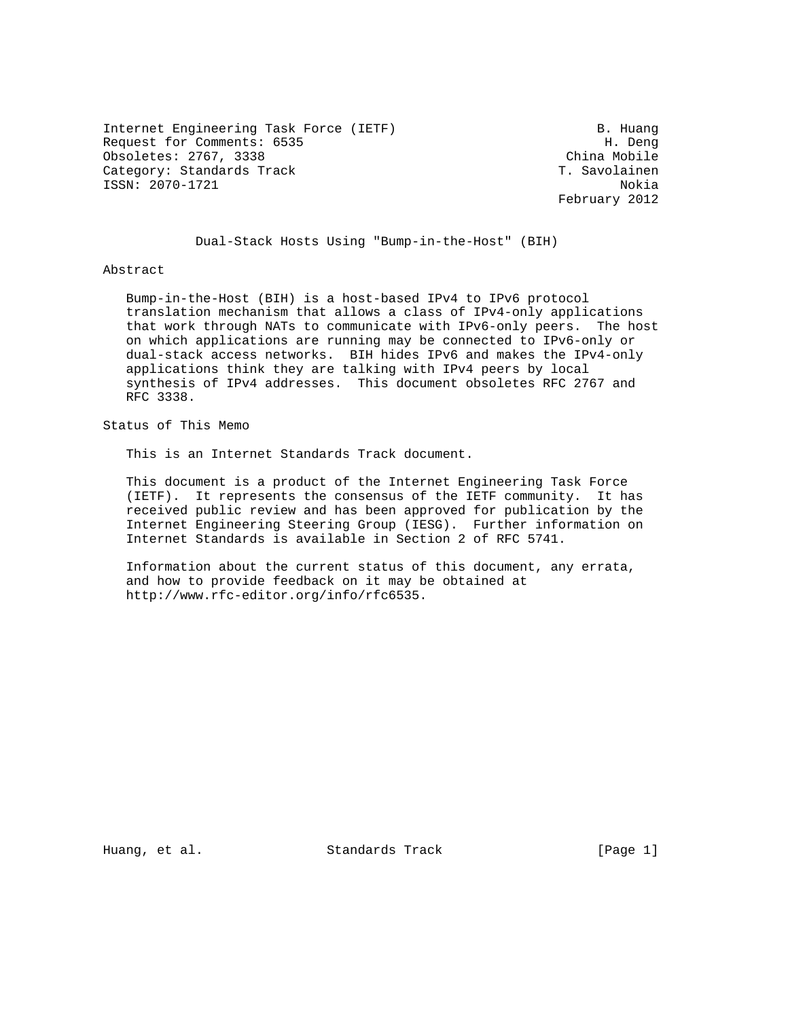Internet Engineering Task Force (IETF) B. Huang Request for Comments: 6535 H. Deng Obsoletes: 2767, 3338 China Mobile Category: Standards Track T. Savolainen ISSN: 2070-1721 Nokia

February 2012

Dual-Stack Hosts Using "Bump-in-the-Host" (BIH)

## Abstract

 Bump-in-the-Host (BIH) is a host-based IPv4 to IPv6 protocol translation mechanism that allows a class of IPv4-only applications that work through NATs to communicate with IPv6-only peers. The host on which applications are running may be connected to IPv6-only or dual-stack access networks. BIH hides IPv6 and makes the IPv4-only applications think they are talking with IPv4 peers by local synthesis of IPv4 addresses. This document obsoletes RFC 2767 and RFC 3338.

Status of This Memo

This is an Internet Standards Track document.

 This document is a product of the Internet Engineering Task Force (IETF). It represents the consensus of the IETF community. It has received public review and has been approved for publication by the Internet Engineering Steering Group (IESG). Further information on Internet Standards is available in Section 2 of RFC 5741.

 Information about the current status of this document, any errata, and how to provide feedback on it may be obtained at http://www.rfc-editor.org/info/rfc6535.

Huang, et al. Standards Track [Page 1]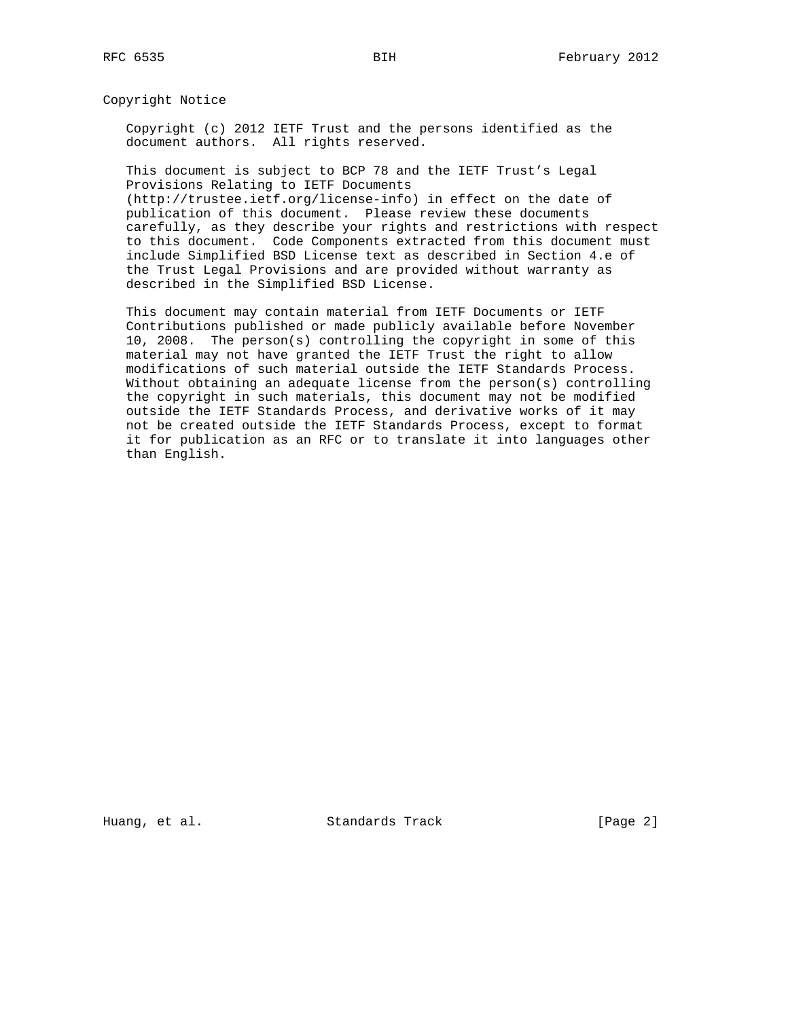Copyright Notice

 Copyright (c) 2012 IETF Trust and the persons identified as the document authors. All rights reserved.

 This document is subject to BCP 78 and the IETF Trust's Legal Provisions Relating to IETF Documents (http://trustee.ietf.org/license-info) in effect on the date of publication of this document. Please review these documents carefully, as they describe your rights and restrictions with respect to this document. Code Components extracted from this document must include Simplified BSD License text as described in Section 4.e of

the Trust Legal Provisions and are provided without warranty as

described in the Simplified BSD License.

 This document may contain material from IETF Documents or IETF Contributions published or made publicly available before November 10, 2008. The person(s) controlling the copyright in some of this material may not have granted the IETF Trust the right to allow modifications of such material outside the IETF Standards Process. Without obtaining an adequate license from the person(s) controlling the copyright in such materials, this document may not be modified outside the IETF Standards Process, and derivative works of it may not be created outside the IETF Standards Process, except to format it for publication as an RFC or to translate it into languages other than English.

Huang, et al. Standards Track [Page 2]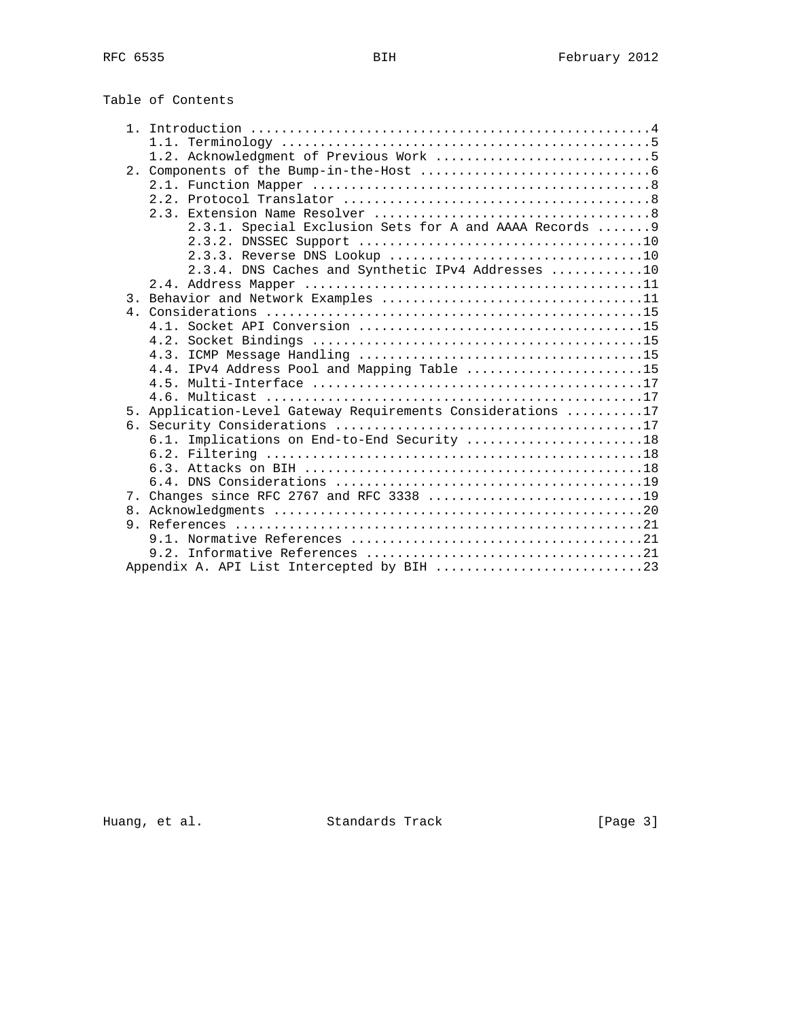|    | 2.3.1. Special Exclusion Sets for A and AAAA Records  9     |
|----|-------------------------------------------------------------|
|    |                                                             |
|    |                                                             |
|    | 2.3.4. DNS Caches and Synthetic IPv4 Addresses 10           |
|    |                                                             |
|    |                                                             |
|    |                                                             |
|    |                                                             |
|    |                                                             |
|    | 4.3.                                                        |
|    | 4.4. IPv4 Address Pool and Mapping Table 15                 |
|    |                                                             |
|    |                                                             |
|    | 5. Application-Level Gateway Requirements Considerations 17 |
|    |                                                             |
|    | 6.1. Implications on End-to-End Security 18                 |
|    |                                                             |
|    |                                                             |
|    |                                                             |
|    |                                                             |
| 8. |                                                             |
|    |                                                             |
|    |                                                             |
|    |                                                             |
|    |                                                             |

Huang, et al. Standards Track [Page 3]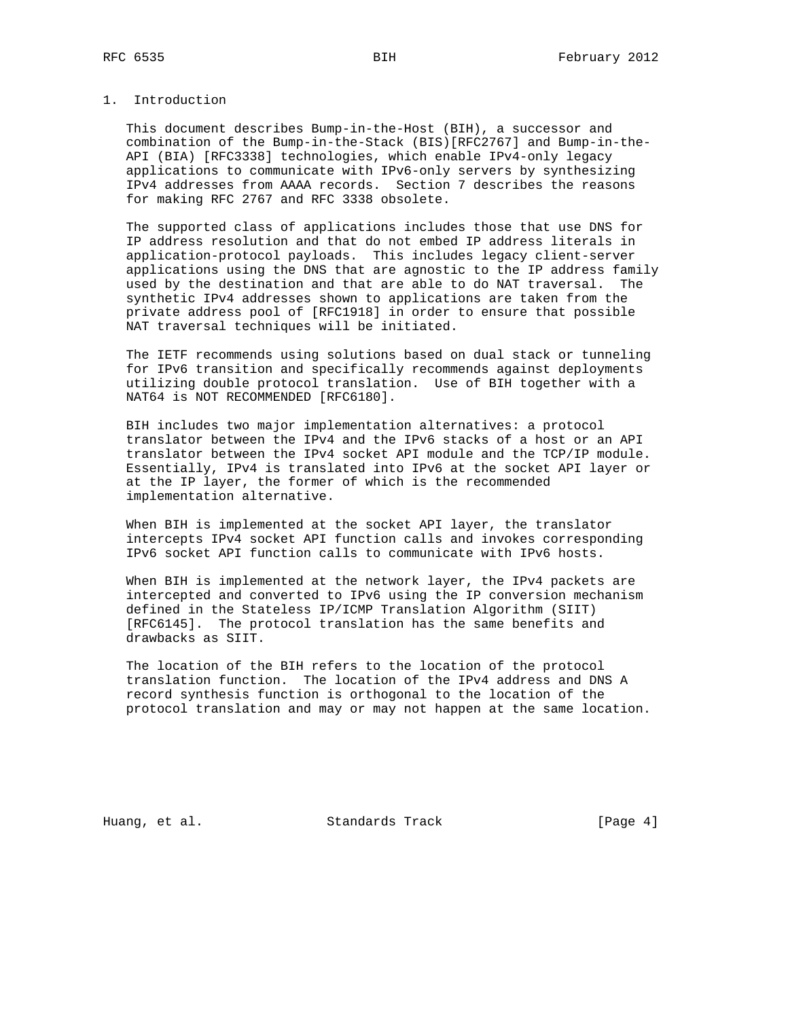# 1. Introduction

 This document describes Bump-in-the-Host (BIH), a successor and combination of the Bump-in-the-Stack (BIS)[RFC2767] and Bump-in-the- API (BIA) [RFC3338] technologies, which enable IPv4-only legacy applications to communicate with IPv6-only servers by synthesizing IPv4 addresses from AAAA records. Section 7 describes the reasons for making RFC 2767 and RFC 3338 obsolete.

 The supported class of applications includes those that use DNS for IP address resolution and that do not embed IP address literals in application-protocol payloads. This includes legacy client-server applications using the DNS that are agnostic to the IP address family used by the destination and that are able to do NAT traversal. The synthetic IPv4 addresses shown to applications are taken from the private address pool of [RFC1918] in order to ensure that possible NAT traversal techniques will be initiated.

 The IETF recommends using solutions based on dual stack or tunneling for IPv6 transition and specifically recommends against deployments utilizing double protocol translation. Use of BIH together with a NAT64 is NOT RECOMMENDED [RFC6180].

 BIH includes two major implementation alternatives: a protocol translator between the IPv4 and the IPv6 stacks of a host or an API translator between the IPv4 socket API module and the TCP/IP module. Essentially, IPv4 is translated into IPv6 at the socket API layer or at the IP layer, the former of which is the recommended implementation alternative.

 When BIH is implemented at the socket API layer, the translator intercepts IPv4 socket API function calls and invokes corresponding IPv6 socket API function calls to communicate with IPv6 hosts.

 When BIH is implemented at the network layer, the IPv4 packets are intercepted and converted to IPv6 using the IP conversion mechanism defined in the Stateless IP/ICMP Translation Algorithm (SIIT) [RFC6145]. The protocol translation has the same benefits and drawbacks as SIIT.

 The location of the BIH refers to the location of the protocol translation function. The location of the IPv4 address and DNS A record synthesis function is orthogonal to the location of the protocol translation and may or may not happen at the same location.

Huang, et al. Standards Track [Page 4]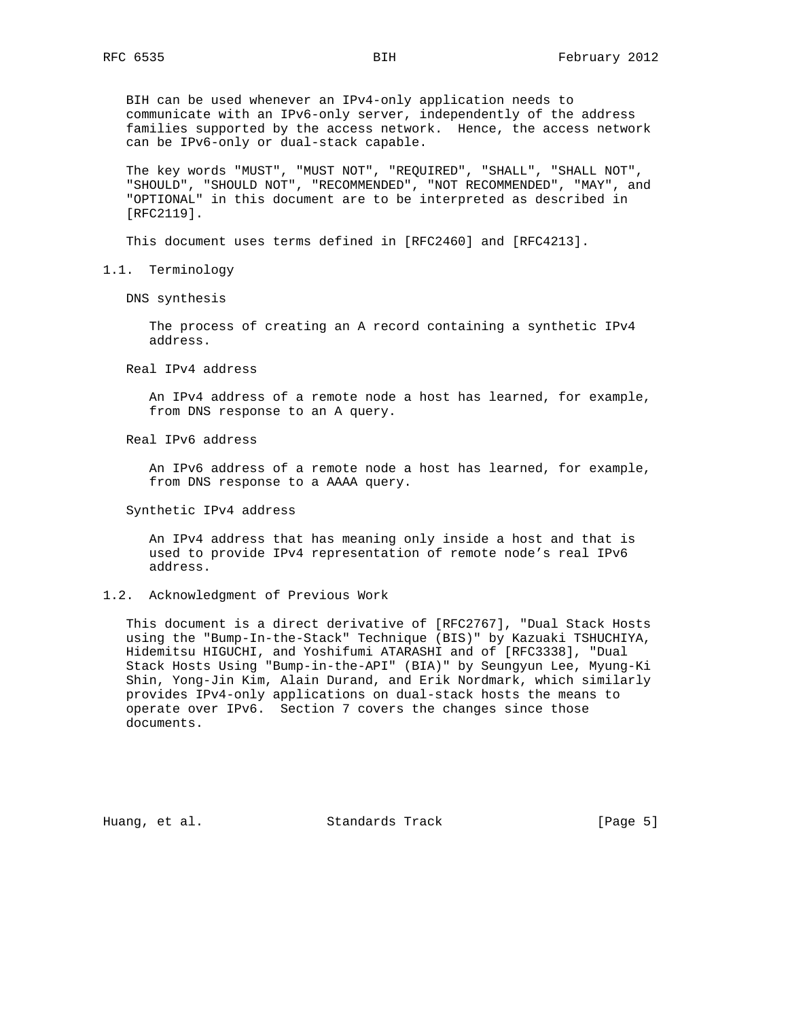BIH can be used whenever an IPv4-only application needs to communicate with an IPv6-only server, independently of the address families supported by the access network. Hence, the access network can be IPv6-only or dual-stack capable.

 The key words "MUST", "MUST NOT", "REQUIRED", "SHALL", "SHALL NOT", "SHOULD", "SHOULD NOT", "RECOMMENDED", "NOT RECOMMENDED", "MAY", and "OPTIONAL" in this document are to be interpreted as described in [RFC2119].

This document uses terms defined in [RFC2460] and [RFC4213].

1.1. Terminology

DNS synthesis

 The process of creating an A record containing a synthetic IPv4 address.

Real IPv4 address

 An IPv4 address of a remote node a host has learned, for example, from DNS response to an A query.

Real IPv6 address

 An IPv6 address of a remote node a host has learned, for example, from DNS response to a AAAA query.

Synthetic IPv4 address

 An IPv4 address that has meaning only inside a host and that is used to provide IPv4 representation of remote node's real IPv6 address.

#### 1.2. Acknowledgment of Previous Work

 This document is a direct derivative of [RFC2767], "Dual Stack Hosts using the "Bump-In-the-Stack" Technique (BIS)" by Kazuaki TSHUCHIYA, Hidemitsu HIGUCHI, and Yoshifumi ATARASHI and of [RFC3338], "Dual Stack Hosts Using "Bump-in-the-API" (BIA)" by Seungyun Lee, Myung-Ki Shin, Yong-Jin Kim, Alain Durand, and Erik Nordmark, which similarly provides IPv4-only applications on dual-stack hosts the means to operate over IPv6. Section 7 covers the changes since those documents.

Huang, et al. Standards Track [Page 5]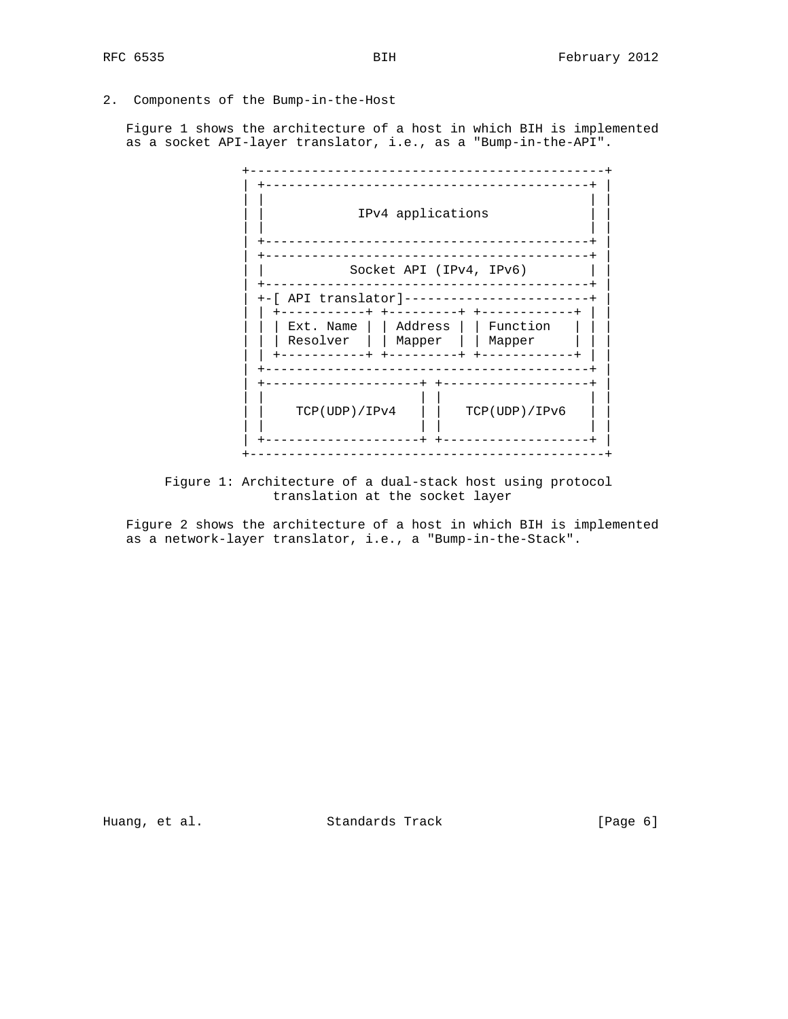2. Components of the Bump-in-the-Host

 Figure 1 shows the architecture of a host in which BIH is implemented as a socket API-layer translator, i.e., as a "Bump-in-the-API".

|                                          | IPv4 applications                        |                                                                                         |
|------------------------------------------|------------------------------------------|-----------------------------------------------------------------------------------------|
|                                          | Socket API (IPv4, IPv6)                  |                                                                                         |
| +-[ API translator]--------------------- |                                          |                                                                                         |
| Resolver                                 | -+ +--------<br>    Mapper<br>---------+ | $-+ + -$<br>Ext. Name     Address     Function<br>    Mapper<br>$+ - - - - - - - - - -$ |
| TCP(UDP)/IPv4                            |                                          | -------------------<br>TCP(UDP)/IPv6                                                    |

 Figure 1: Architecture of a dual-stack host using protocol translation at the socket layer

 Figure 2 shows the architecture of a host in which BIH is implemented as a network-layer translator, i.e., a "Bump-in-the-Stack".

Huang, et al. Standards Track [Page 6]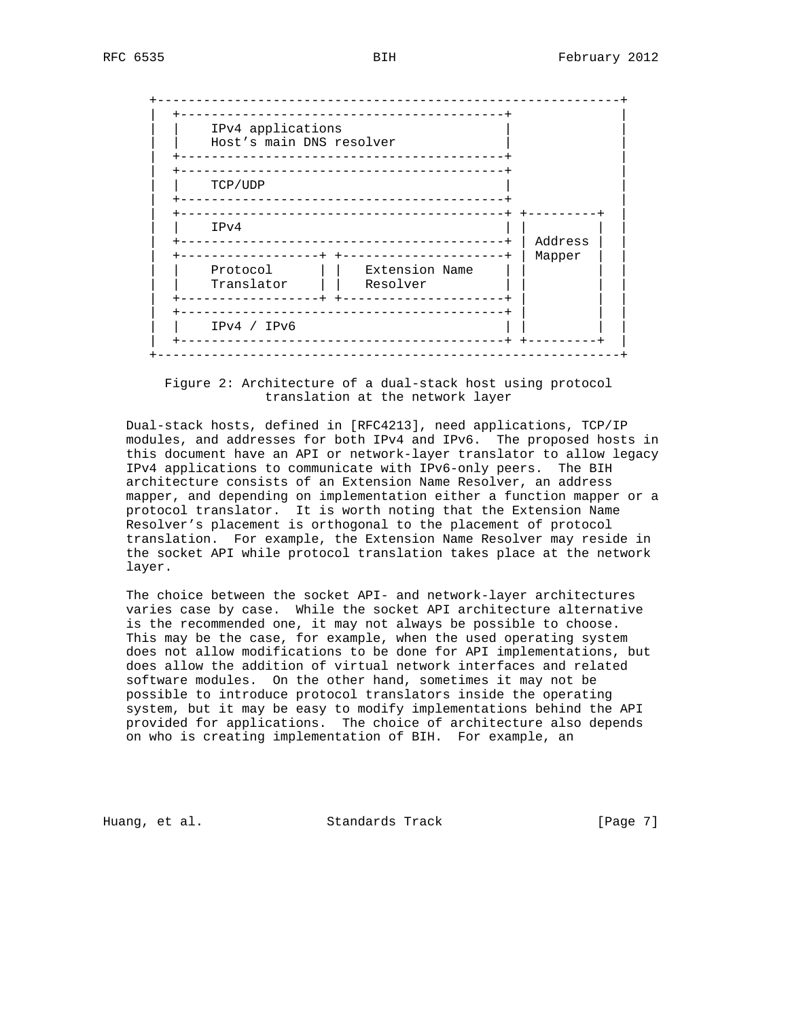| IPv4 applications<br>Host's main DNS resolver | ------------                                           |         |
|-----------------------------------------------|--------------------------------------------------------|---------|
| TCP/UDP                                       | ________________________<br>_______________________    |         |
| IPv4                                          | _____________________________<br>_____________________ | Address |
| Protocol<br>Translator                        | Extension Name<br>Resolver                             | Mapper  |
| IPv4 / IPv6                                   | _____________________                                  |         |

 Figure 2: Architecture of a dual-stack host using protocol translation at the network layer

 Dual-stack hosts, defined in [RFC4213], need applications, TCP/IP modules, and addresses for both IPv4 and IPv6. The proposed hosts in this document have an API or network-layer translator to allow legacy IPv4 applications to communicate with IPv6-only peers. The BIH architecture consists of an Extension Name Resolver, an address mapper, and depending on implementation either a function mapper or a protocol translator. It is worth noting that the Extension Name Resolver's placement is orthogonal to the placement of protocol translation. For example, the Extension Name Resolver may reside in the socket API while protocol translation takes place at the network layer.

 The choice between the socket API- and network-layer architectures varies case by case. While the socket API architecture alternative is the recommended one, it may not always be possible to choose. This may be the case, for example, when the used operating system does not allow modifications to be done for API implementations, but does allow the addition of virtual network interfaces and related software modules. On the other hand, sometimes it may not be possible to introduce protocol translators inside the operating system, but it may be easy to modify implementations behind the API provided for applications. The choice of architecture also depends on who is creating implementation of BIH. For example, an

Huang, et al. Standards Track [Page 7]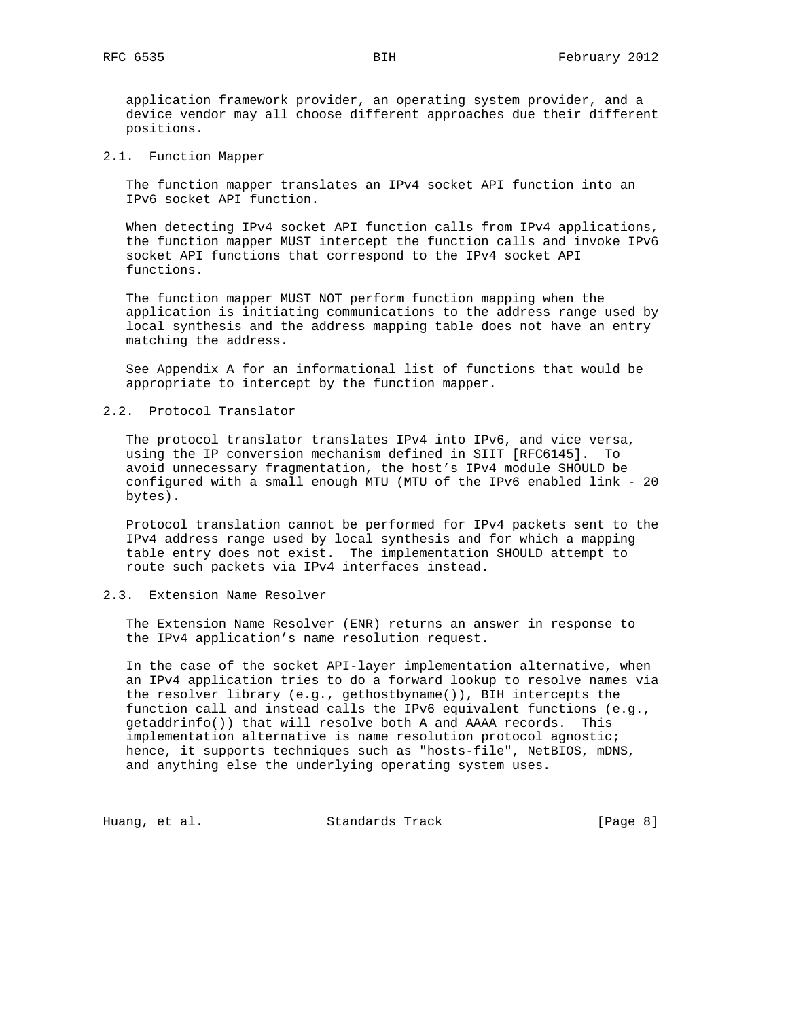application framework provider, an operating system provider, and a device vendor may all choose different approaches due their different positions.

2.1. Function Mapper

 The function mapper translates an IPv4 socket API function into an IPv6 socket API function.

 When detecting IPv4 socket API function calls from IPv4 applications, the function mapper MUST intercept the function calls and invoke IPv6 socket API functions that correspond to the IPv4 socket API functions.

 The function mapper MUST NOT perform function mapping when the application is initiating communications to the address range used by local synthesis and the address mapping table does not have an entry matching the address.

 See Appendix A for an informational list of functions that would be appropriate to intercept by the function mapper.

### 2.2. Protocol Translator

 The protocol translator translates IPv4 into IPv6, and vice versa, using the IP conversion mechanism defined in SIIT [RFC6145]. To avoid unnecessary fragmentation, the host's IPv4 module SHOULD be configured with a small enough MTU (MTU of the IPv6 enabled link - 20 bytes).

 Protocol translation cannot be performed for IPv4 packets sent to the IPv4 address range used by local synthesis and for which a mapping table entry does not exist. The implementation SHOULD attempt to route such packets via IPv4 interfaces instead.

## 2.3. Extension Name Resolver

 The Extension Name Resolver (ENR) returns an answer in response to the IPv4 application's name resolution request.

 In the case of the socket API-layer implementation alternative, when an IPv4 application tries to do a forward lookup to resolve names via the resolver library (e.g., gethostbyname()), BIH intercepts the function call and instead calls the IPv6 equivalent functions (e.g., getaddrinfo()) that will resolve both A and AAAA records. This implementation alternative is name resolution protocol agnostic; hence, it supports techniques such as "hosts-file", NetBIOS, mDNS, and anything else the underlying operating system uses.

Huang, et al. Standards Track [Page 8]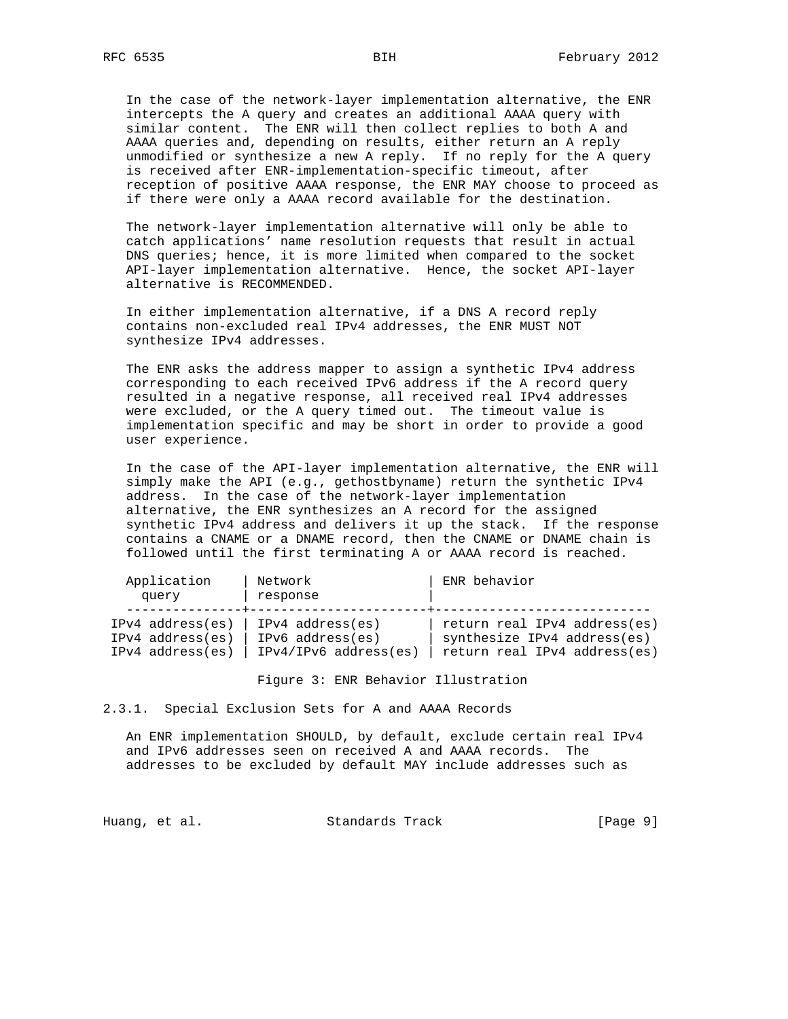In the case of the network-layer implementation alternative, the ENR intercepts the A query and creates an additional AAAA query with similar content. The ENR will then collect replies to both A and AAAA queries and, depending on results, either return an A reply unmodified or synthesize a new A reply. If no reply for the A query is received after ENR-implementation-specific timeout, after reception of positive AAAA response, the ENR MAY choose to proceed as if there were only a AAAA record available for the destination.

 The network-layer implementation alternative will only be able to catch applications' name resolution requests that result in actual DNS queries; hence, it is more limited when compared to the socket API-layer implementation alternative. Hence, the socket API-layer alternative is RECOMMENDED.

 In either implementation alternative, if a DNS A record reply contains non-excluded real IPv4 addresses, the ENR MUST NOT synthesize IPv4 addresses.

 The ENR asks the address mapper to assign a synthetic IPv4 address corresponding to each received IPv6 address if the A record query resulted in a negative response, all received real IPv4 addresses were excluded, or the A query timed out. The timeout value is implementation specific and may be short in order to provide a good user experience.

 In the case of the API-layer implementation alternative, the ENR will simply make the API (e.g., gethostbyname) return the synthetic IPv4 address. In the case of the network-layer implementation alternative, the ENR synthesizes an A record for the assigned synthetic IPv4 address and delivers it up the stack. If the response contains a CNAME or a DNAME record, then the CNAME or DNAME chain is followed until the first terminating A or AAAA record is reached.

| Application<br>query | Network<br>response   | ENR behavior                 |
|----------------------|-----------------------|------------------------------|
| $IPv4$ address(es)   | $IPv4$ address(es)    | return real IPv4 address(es) |
| $IPv4$ address(es)   | $IPv6$ address(es)    | synthesize IPv4 address(es)  |
| $IPv4$ address(es)   | IPv4/IPv6 address(es) | return real IPv4 address(es) |

Figure 3: ENR Behavior Illustration

2.3.1. Special Exclusion Sets for A and AAAA Records

 An ENR implementation SHOULD, by default, exclude certain real IPv4 and IPv6 addresses seen on received A and AAAA records. The addresses to be excluded by default MAY include addresses such as

Huang, et al. Standards Track [Page 9]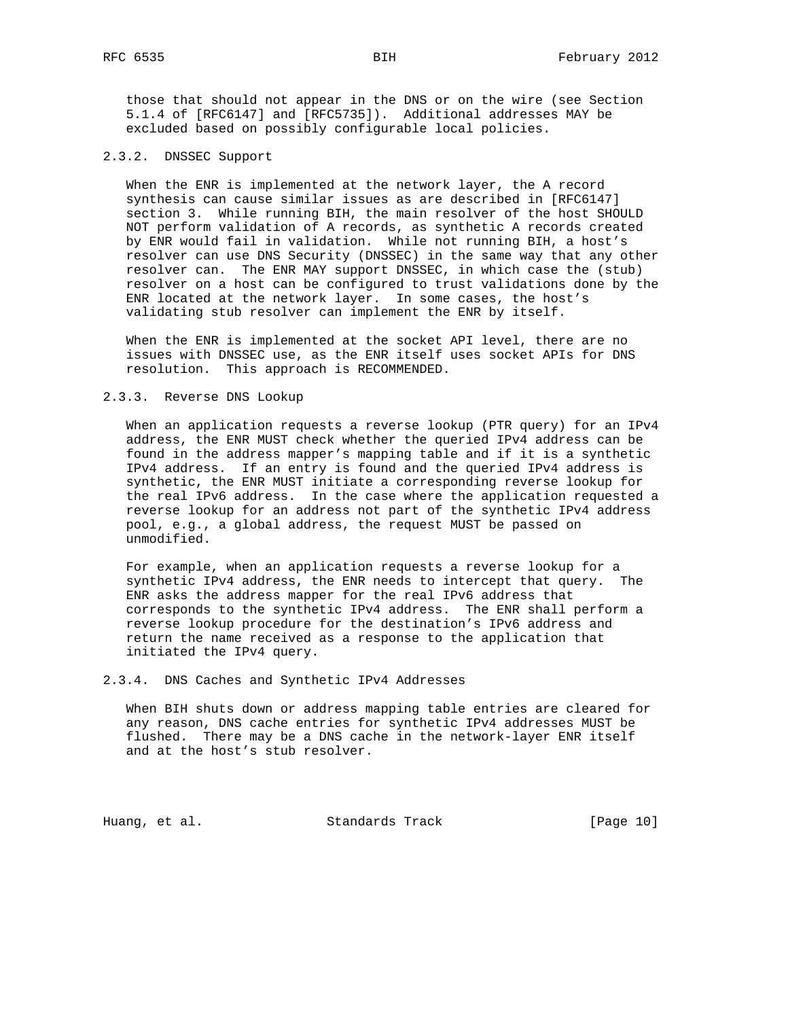those that should not appear in the DNS or on the wire (see Section 5.1.4 of [RFC6147] and [RFC5735]). Additional addresses MAY be excluded based on possibly configurable local policies.

#### 2.3.2. DNSSEC Support

 When the ENR is implemented at the network layer, the A record synthesis can cause similar issues as are described in [RFC6147] section 3. While running BIH, the main resolver of the host SHOULD NOT perform validation of A records, as synthetic A records created by ENR would fail in validation. While not running BIH, a host's resolver can use DNS Security (DNSSEC) in the same way that any other resolver can. The ENR MAY support DNSSEC, in which case the (stub) resolver on a host can be configured to trust validations done by the ENR located at the network layer. In some cases, the host's validating stub resolver can implement the ENR by itself.

 When the ENR is implemented at the socket API level, there are no issues with DNSSEC use, as the ENR itself uses socket APIs for DNS resolution. This approach is RECOMMENDED.

## 2.3.3. Reverse DNS Lookup

 When an application requests a reverse lookup (PTR query) for an IPv4 address, the ENR MUST check whether the queried IPv4 address can be found in the address mapper's mapping table and if it is a synthetic IPv4 address. If an entry is found and the queried IPv4 address is synthetic, the ENR MUST initiate a corresponding reverse lookup for the real IPv6 address. In the case where the application requested a reverse lookup for an address not part of the synthetic IPv4 address pool, e.g., a global address, the request MUST be passed on unmodified.

 For example, when an application requests a reverse lookup for a synthetic IPv4 address, the ENR needs to intercept that query. The ENR asks the address mapper for the real IPv6 address that corresponds to the synthetic IPv4 address. The ENR shall perform a reverse lookup procedure for the destination's IPv6 address and return the name received as a response to the application that initiated the IPv4 query.

2.3.4. DNS Caches and Synthetic IPv4 Addresses

 When BIH shuts down or address mapping table entries are cleared for any reason, DNS cache entries for synthetic IPv4 addresses MUST be flushed. There may be a DNS cache in the network-layer ENR itself and at the host's stub resolver.

Huang, et al. Standards Track [Page 10]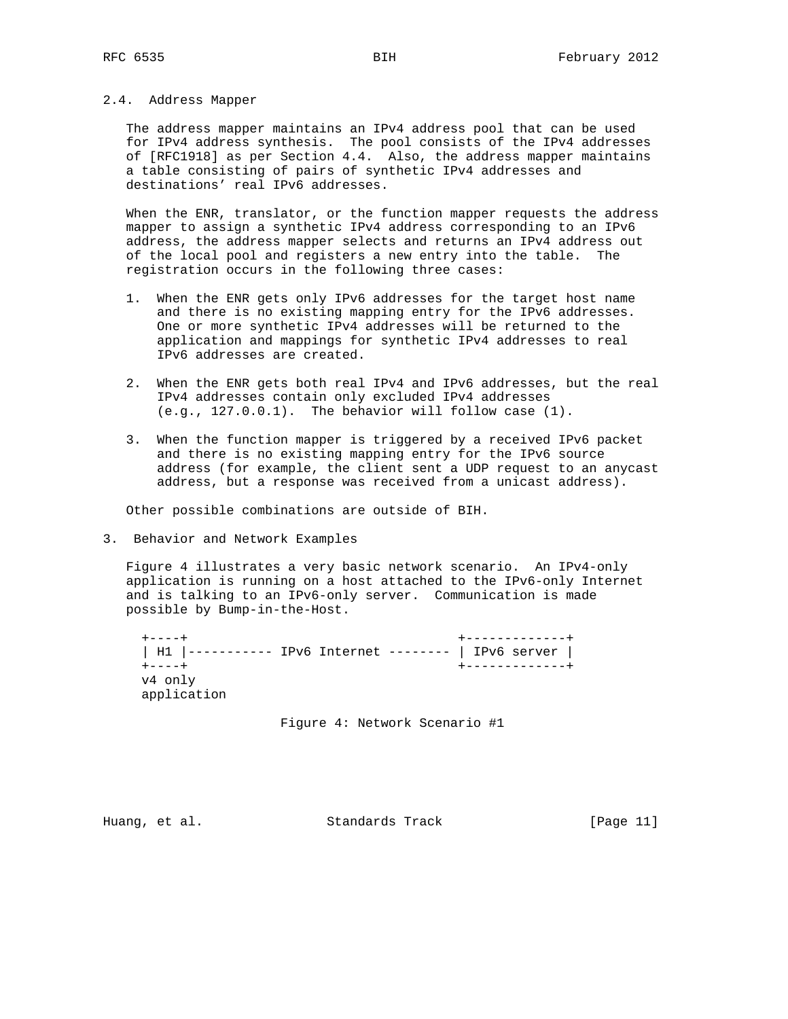## 2.4. Address Mapper

 The address mapper maintains an IPv4 address pool that can be used for IPv4 address synthesis. The pool consists of the IPv4 addresses of [RFC1918] as per Section 4.4. Also, the address mapper maintains a table consisting of pairs of synthetic IPv4 addresses and destinations' real IPv6 addresses.

 When the ENR, translator, or the function mapper requests the address mapper to assign a synthetic IPv4 address corresponding to an IPv6 address, the address mapper selects and returns an IPv4 address out of the local pool and registers a new entry into the table. The registration occurs in the following three cases:

- 1. When the ENR gets only IPv6 addresses for the target host name and there is no existing mapping entry for the IPv6 addresses. One or more synthetic IPv4 addresses will be returned to the application and mappings for synthetic IPv4 addresses to real IPv6 addresses are created.
- 2. When the ENR gets both real IPv4 and IPv6 addresses, but the real IPv4 addresses contain only excluded IPv4 addresses  $(e.g., 127.0.0.1)$ . The behavior will follow case  $(1)$ .
- 3. When the function mapper is triggered by a received IPv6 packet and there is no existing mapping entry for the IPv6 source address (for example, the client sent a UDP request to an anycast address, but a response was received from a unicast address).

Other possible combinations are outside of BIH.

3. Behavior and Network Examples

 Figure 4 illustrates a very basic network scenario. An IPv4-only application is running on a host attached to the IPv6-only Internet and is talking to an IPv6-only server. Communication is made possible by Bump-in-the-Host.

 +----+ +-------------+ | H1 |----------- IPv6 Internet -------- | IPv6 server | +----+ +-------------+ v4 only application

Figure 4: Network Scenario #1

Huang, et al. Standards Track [Page 11]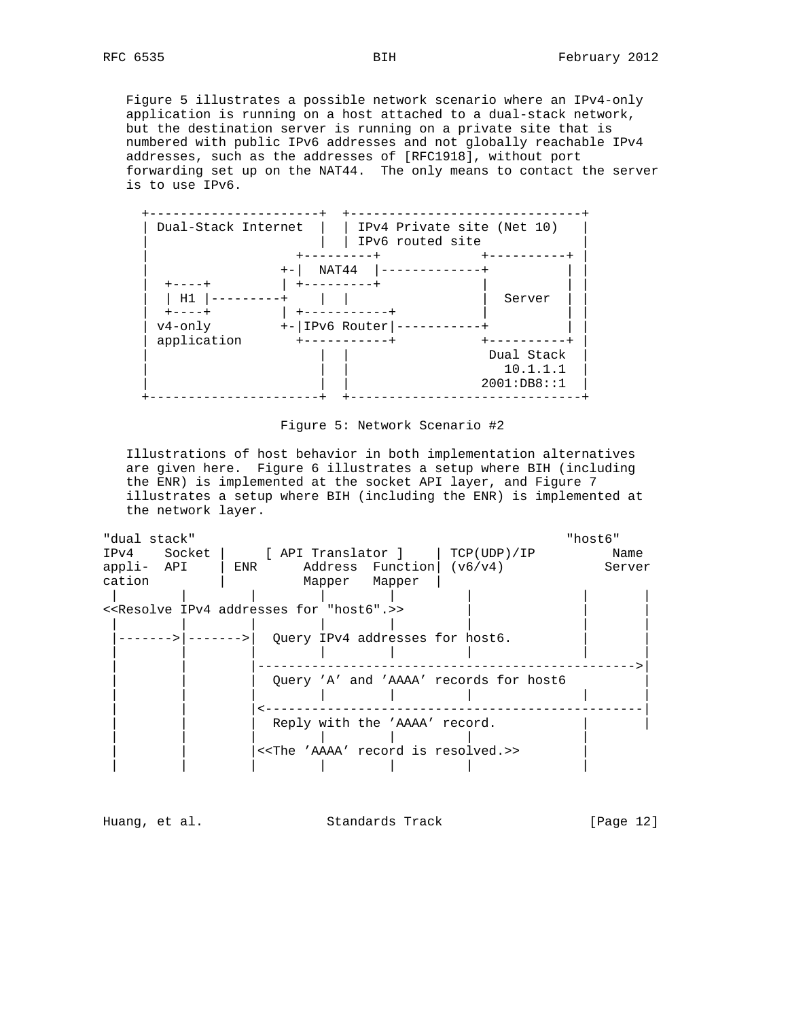Figure 5 illustrates a possible network scenario where an IPv4-only application is running on a host attached to a dual-stack network, but the destination server is running on a private site that is numbered with public IPv6 addresses and not globally reachable IPv4 addresses, such as the addresses of [RFC1918], without port forwarding set up on the NAT44. The only means to contact the server is to use IPv6.





 Illustrations of host behavior in both implementation alternatives are given here. Figure 6 illustrates a setup where BIH (including the ENR) is implemented at the socket API layer, and Figure 7 illustrates a setup where BIH (including the ENR) is implemented at the network layer.

| "dual stack" |                                                                   |                                 |                                                          | "host6" |
|--------------|-------------------------------------------------------------------|---------------------------------|----------------------------------------------------------|---------|
|              |                                                                   |                                 | IPv4 Socket   [API Translator ]   TCP(UDP)/IP            | Name    |
|              | $appli- API$   ENR Address Function ( $v6/v4$ )                   |                                 |                                                          | Server  |
| cation       |                                                                   | Mapper Mapper                   |                                                          |         |
|              |                                                                   |                                 |                                                          |         |
|              | < <resolve "host6".="" addresses="" for="" ipv4="">&gt;</resolve> |                                 |                                                          |         |
|              |                                                                   |                                 |                                                          |         |
|              |                                                                   | Query IPv4 addresses for host6. |                                                          |         |
|              |                                                                   |                                 |                                                          |         |
|              |                                                                   |                                 |                                                          |         |
|              |                                                                   |                                 | Query 'A' and 'AAAA' records for host6                   |         |
|              |                                                                   |                                 |                                                          |         |
|              |                                                                   |                                 |                                                          |         |
|              |                                                                   | Reply with the 'AAAA' record.   |                                                          |         |
|              |                                                                   |                                 |                                                          |         |
|              |                                                                   |                                 | < <the 'aaaa'="" is="" record="" resolved.="">&gt;</the> |         |
|              |                                                                   |                                 |                                                          |         |

Huang, et al. Standards Track [Page 12]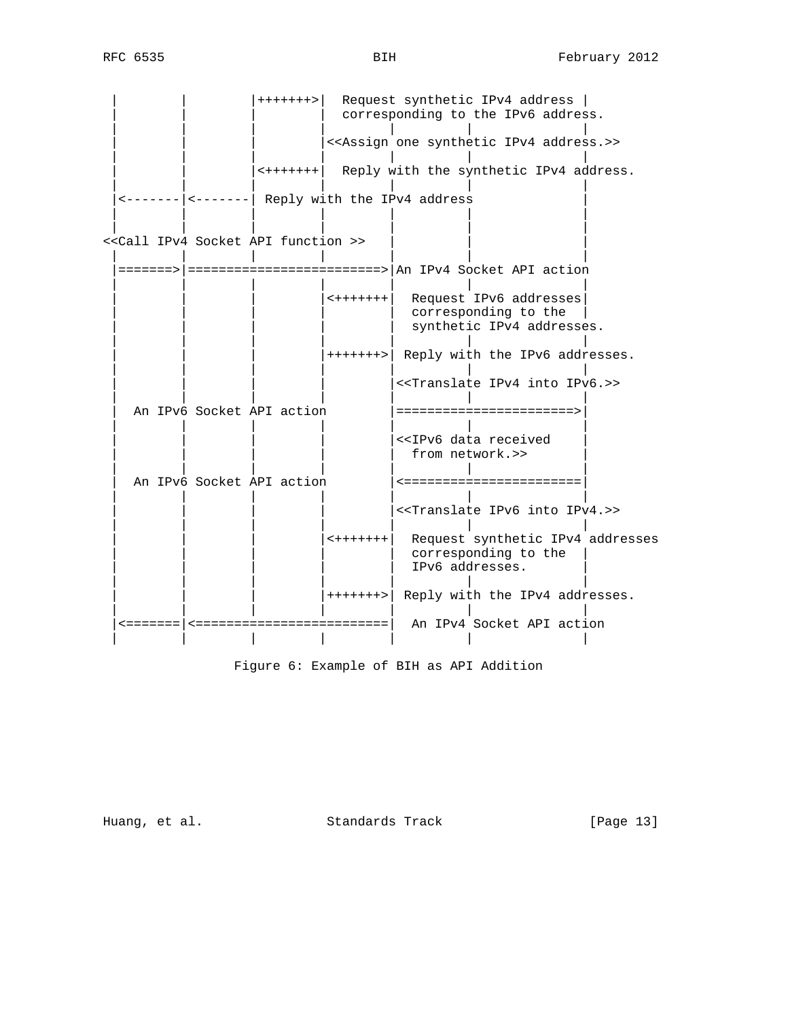| + + + + + + + > | Request synthetic IPv4 address | corresponding to the IPv6 address. | | | | | | | |<<Assign one synthetic IPv4 address.>> | | | | | | |  $\left| \left( \text{exp}(x) \right) \right|$  and  $\left| \left( \text{exp}(x) \right) \right|$  and  $\left| \left( \text{exp}(x) \right) \right|$  and  $\left| \left( \text{exp}(x) \right) \right|$  and  $\left| \left( \text{exp}(x) \right) \right|$  and  $\left| \left( \text{exp}(x) \right) \right|$  and  $\left| \left( \text{exp}(x) \right) \right|$  and  $\left| \left( \text{exp}(x) \right) \right|$  and  $\left| \left( \text{exp}(x$  | | | | | | |  $\left| \left\langle \right\rangle \right|$   $\left| \left\langle \right\rangle \right|$   $\left| \right\rangle$   $\left| \right\rangle$   $\left| \right\rangle$   $\left| \right\rangle$   $\left| \right\rangle$   $\left| \right\rangle$   $\left| \right\rangle$   $\left| \right\rangle$   $\left| \right\rangle$   $\left| \right\rangle$   $\left| \right\rangle$   $\left| \right\rangle$   $\left| \right\rangle$   $\left| \right\rangle$   $\left| \right\rangle$   $\left| \right\rangle$   $\left| \right\rangle$   $\left| \right\rangle$   $\left| \right\r$  | | | | | | | | | | | | | | <<<<all IPv4 Socket API function >> | | | | | | | |=======>|=========================>|An IPv4 Socket API action | | | | | | | | | | |<+++++++| Request IPv6 addresses| | corresponding to the  $|$ synthetic IPv4 addresses. | | | | | | | | | | |+++++++>| Reply with the IPv6 addresses. | | | | | | | | | | | |<<Translate IPv4 into IPv6.>> | | | | | | | An IPv6 Socket API action  $|$ =====================>| | | | | | | | |<<IPv6 data received from network.>> | | | | | | | | An IPv6 Socket API action |<=======================| | | | | | | | |<<Translate IPv6 into IPv4.>> | | | | | | | | | | |<+++++++| Request synthetic IPv4 addresses corresponding to the | | | | | | IPv6 addresses. | | | | | | | | | | | |+++++++>| Reply with the IPv4 addresses. | | | | | | | |<=======|<=========================| An IPv4 Socket API action | | | | | | |

Figure 6: Example of BIH as API Addition

Huang, et al. Standards Track [Page 13]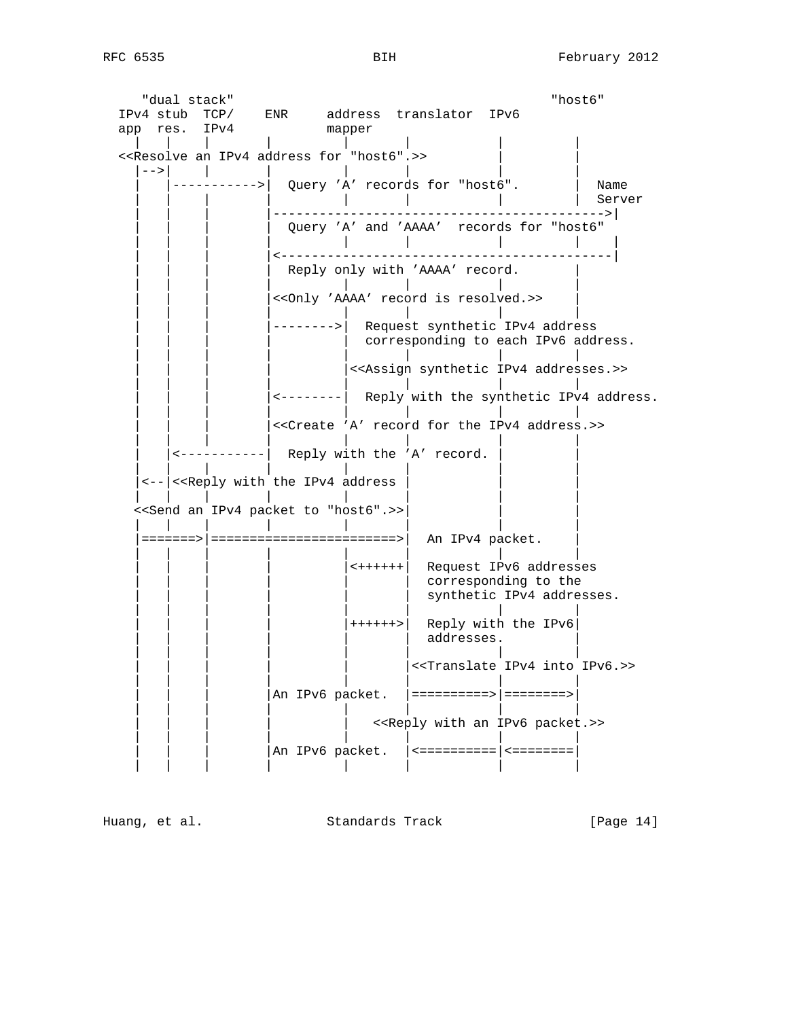"dual stack" "host6" IPv4 stub TCP/ ENR address translator IPv6 app res. IPv4 mapper | | | | | | | | <<Resolve an IPv4 address for "host6".>> |-->| | | | | | | | |----------->| Query 'A' records for "host6". | Name | | | | | | | | Server | | | |------------------------------------------->| Query 'A' and 'AAAA' records for "host6" | | | | | | | | | | | | |<-------------------------------------------| Reply only with 'AAAA' record.  $|$  | | | | | | | | | | | |<<Only 'AAAA' record is resolved.>> | | | | | | | | | --------> Request synthetic IPv4 address corresponding to each IPv6 address. | | | | | | | | |<<Assign synthetic IPv4 addresses.>> | | | | | | | | | <--------| Reply with the synthetic IPv4 address. | | | | | | | | |<<Create 'A' record for the IPv4 address.>> | | | | | | | |  $|\langle$ ----------- $|\rangle$  Reply with the 'A' record. | | | | | | | | |<--|<<Reply with the IPv4 address | | | | | | | | | | | <<Send an IPv4 packet to "host6".>>| | | | | | | | | | | |=======>|========================>| An IPv4 packet. | | | | | | | | |  $|\leftrightarrow$  ++++++ Request IPv6 addresses  $|$  corresponding to the synthetic IPv4 addresses. | | | | | | | | | | | | |++++++>| Reply with the IPv6| | | | | | | | | | | addresses. | | | | | | | | | | |<<Translate IPv4 into IPv6.>> | | | | | | | | | An IPv6 packet. |=========>|=======>| | | | | | | | | | | | | | <<Reply with an IPv6 packet.>> | | | | | | | | An IPv6 packet.  $|$  <=========== $|$  <========= $|$ | | | | | | | |

Huang, et al. Standards Track [Page 14]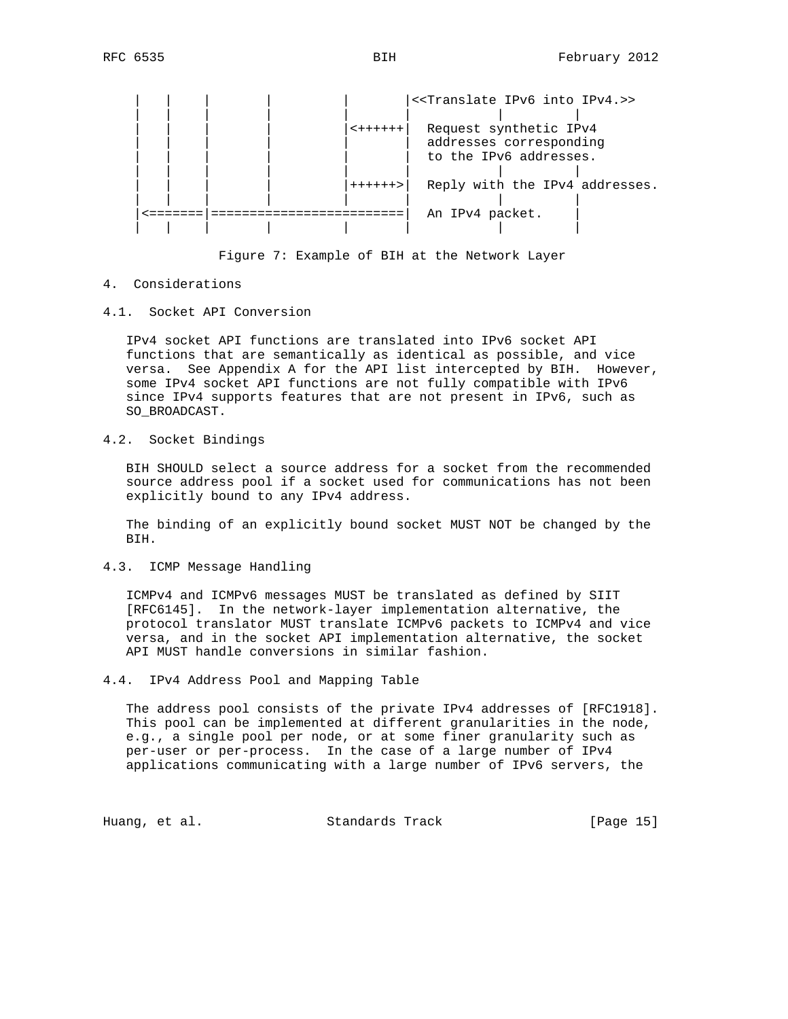



- 4. Considerations
- 4.1. Socket API Conversion

 IPv4 socket API functions are translated into IPv6 socket API functions that are semantically as identical as possible, and vice versa. See Appendix A for the API list intercepted by BIH. However, some IPv4 socket API functions are not fully compatible with IPv6 since IPv4 supports features that are not present in IPv6, such as SO\_BROADCAST.

4.2. Socket Bindings

 BIH SHOULD select a source address for a socket from the recommended source address pool if a socket used for communications has not been explicitly bound to any IPv4 address.

 The binding of an explicitly bound socket MUST NOT be changed by the BIH.

4.3. ICMP Message Handling

 ICMPv4 and ICMPv6 messages MUST be translated as defined by SIIT [RFC6145]. In the network-layer implementation alternative, the protocol translator MUST translate ICMPv6 packets to ICMPv4 and vice versa, and in the socket API implementation alternative, the socket API MUST handle conversions in similar fashion.

4.4. IPv4 Address Pool and Mapping Table

 The address pool consists of the private IPv4 addresses of [RFC1918]. This pool can be implemented at different granularities in the node, e.g., a single pool per node, or at some finer granularity such as per-user or per-process. In the case of a large number of IPv4 applications communicating with a large number of IPv6 servers, the

Huang, et al. Standards Track [Page 15]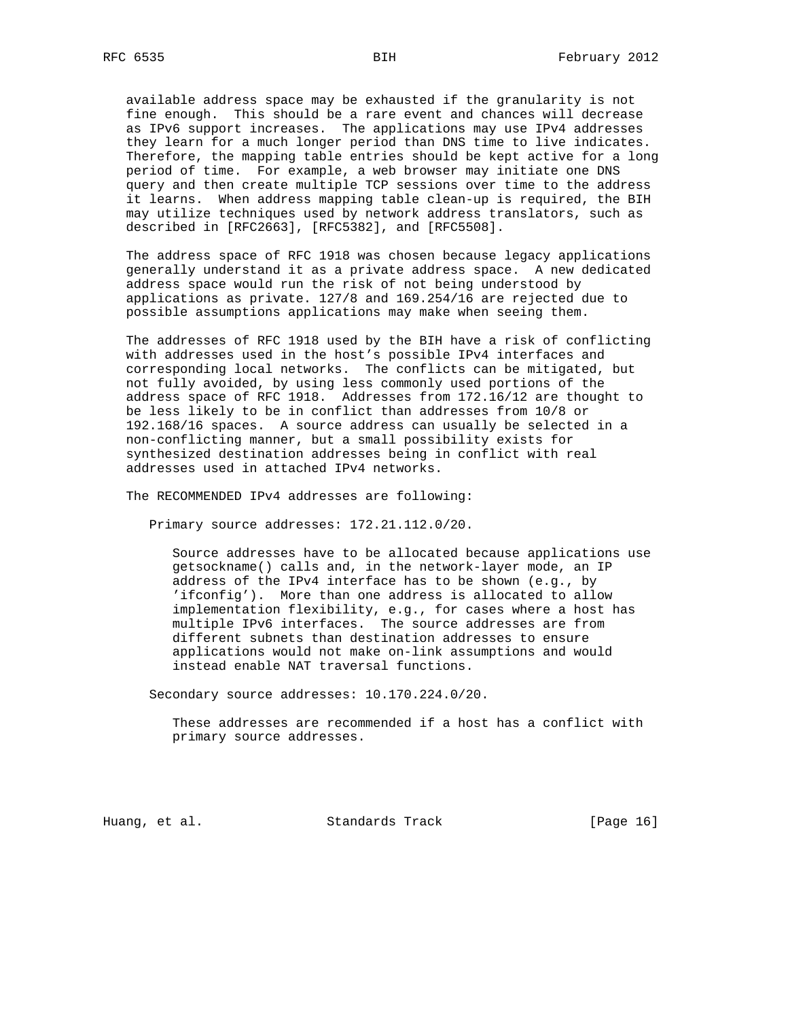available address space may be exhausted if the granularity is not fine enough. This should be a rare event and chances will decrease as IPv6 support increases. The applications may use IPv4 addresses they learn for a much longer period than DNS time to live indicates. Therefore, the mapping table entries should be kept active for a long period of time. For example, a web browser may initiate one DNS query and then create multiple TCP sessions over time to the address it learns. When address mapping table clean-up is required, the BIH may utilize techniques used by network address translators, such as described in [RFC2663], [RFC5382], and [RFC5508].

 The address space of RFC 1918 was chosen because legacy applications generally understand it as a private address space. A new dedicated address space would run the risk of not being understood by applications as private. 127/8 and 169.254/16 are rejected due to possible assumptions applications may make when seeing them.

 The addresses of RFC 1918 used by the BIH have a risk of conflicting with addresses used in the host's possible IPv4 interfaces and corresponding local networks. The conflicts can be mitigated, but not fully avoided, by using less commonly used portions of the address space of RFC 1918. Addresses from 172.16/12 are thought to be less likely to be in conflict than addresses from 10/8 or 192.168/16 spaces. A source address can usually be selected in a non-conflicting manner, but a small possibility exists for synthesized destination addresses being in conflict with real addresses used in attached IPv4 networks.

The RECOMMENDED IPv4 addresses are following:

Primary source addresses: 172.21.112.0/20.

 Source addresses have to be allocated because applications use getsockname() calls and, in the network-layer mode, an IP address of the IPv4 interface has to be shown (e.g., by 'ifconfig'). More than one address is allocated to allow implementation flexibility, e.g., for cases where a host has multiple IPv6 interfaces. The source addresses are from different subnets than destination addresses to ensure applications would not make on-link assumptions and would instead enable NAT traversal functions.

Secondary source addresses: 10.170.224.0/20.

 These addresses are recommended if a host has a conflict with primary source addresses.

Huang, et al. Standards Track [Page 16]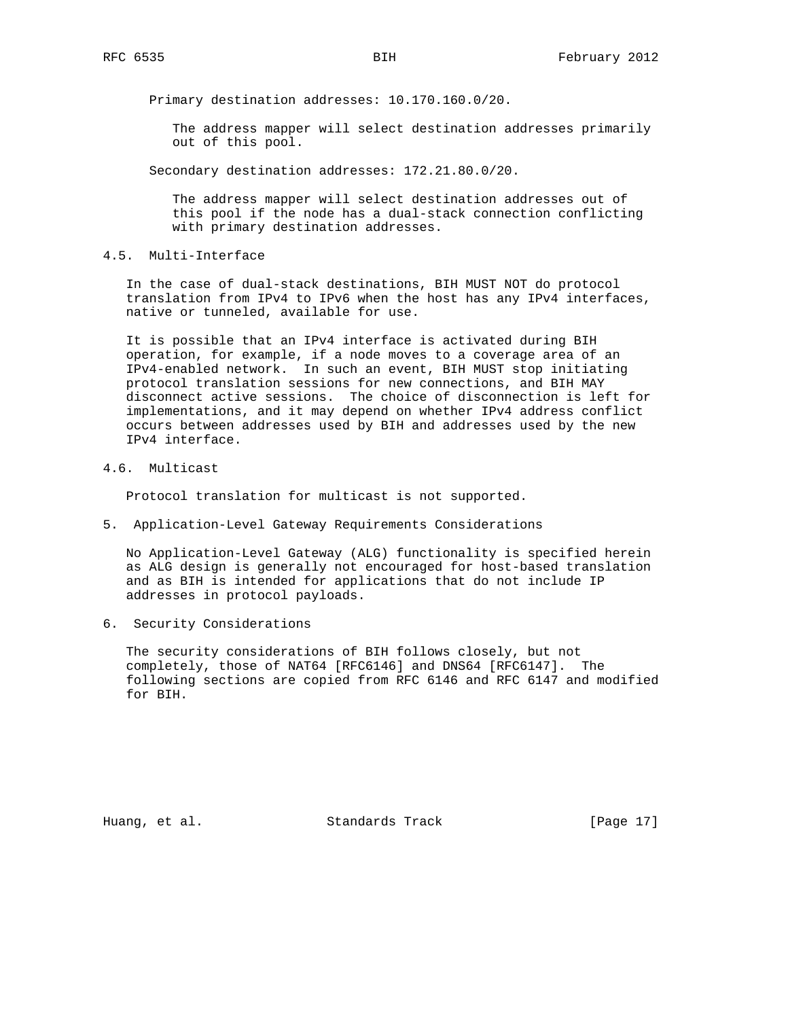Primary destination addresses: 10.170.160.0/20.

 The address mapper will select destination addresses primarily out of this pool.

Secondary destination addresses: 172.21.80.0/20.

 The address mapper will select destination addresses out of this pool if the node has a dual-stack connection conflicting with primary destination addresses.

4.5. Multi-Interface

 In the case of dual-stack destinations, BIH MUST NOT do protocol translation from IPv4 to IPv6 when the host has any IPv4 interfaces, native or tunneled, available for use.

 It is possible that an IPv4 interface is activated during BIH operation, for example, if a node moves to a coverage area of an IPv4-enabled network. In such an event, BIH MUST stop initiating protocol translation sessions for new connections, and BIH MAY disconnect active sessions. The choice of disconnection is left for implementations, and it may depend on whether IPv4 address conflict occurs between addresses used by BIH and addresses used by the new IPv4 interface.

4.6. Multicast

Protocol translation for multicast is not supported.

5. Application-Level Gateway Requirements Considerations

 No Application-Level Gateway (ALG) functionality is specified herein as ALG design is generally not encouraged for host-based translation and as BIH is intended for applications that do not include IP addresses in protocol payloads.

6. Security Considerations

 The security considerations of BIH follows closely, but not completely, those of NAT64 [RFC6146] and DNS64 [RFC6147]. The following sections are copied from RFC 6146 and RFC 6147 and modified for BIH.

Huang, et al. Standards Track [Page 17]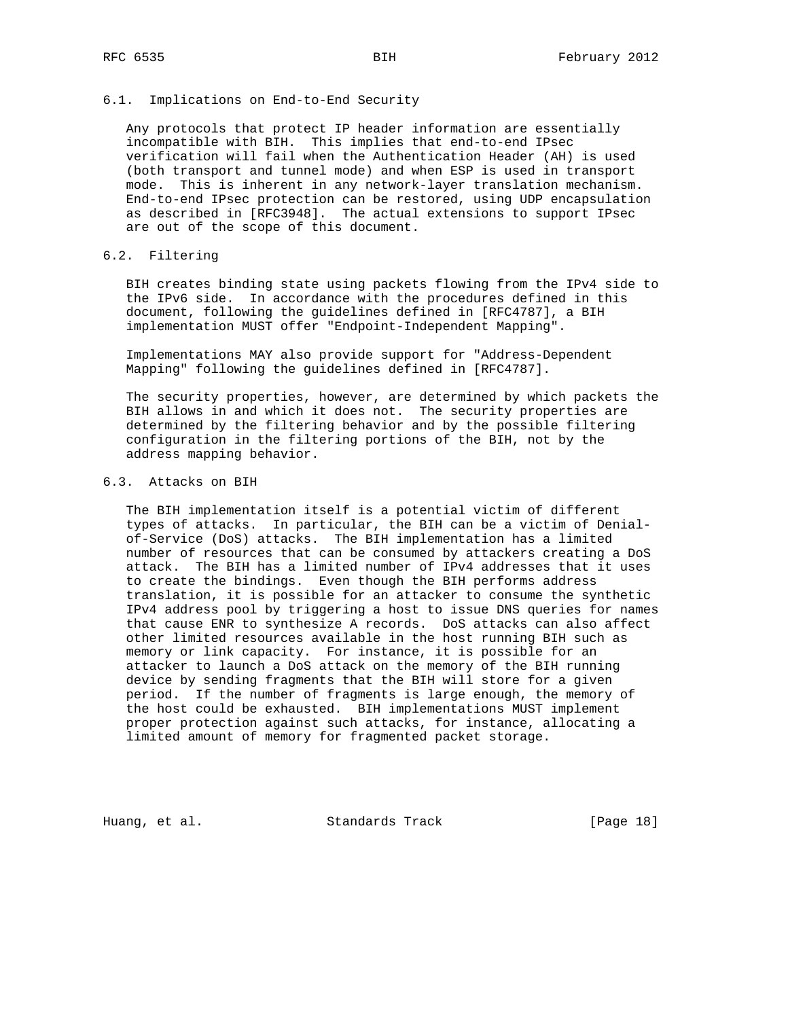#### 6.1. Implications on End-to-End Security

 Any protocols that protect IP header information are essentially incompatible with BIH. This implies that end-to-end IPsec verification will fail when the Authentication Header (AH) is used (both transport and tunnel mode) and when ESP is used in transport mode. This is inherent in any network-layer translation mechanism. End-to-end IPsec protection can be restored, using UDP encapsulation as described in [RFC3948]. The actual extensions to support IPsec are out of the scope of this document.

### 6.2. Filtering

 BIH creates binding state using packets flowing from the IPv4 side to the IPv6 side. In accordance with the procedures defined in this document, following the guidelines defined in [RFC4787], a BIH implementation MUST offer "Endpoint-Independent Mapping".

 Implementations MAY also provide support for "Address-Dependent Mapping" following the guidelines defined in [RFC4787].

 The security properties, however, are determined by which packets the BIH allows in and which it does not. The security properties are determined by the filtering behavior and by the possible filtering configuration in the filtering portions of the BIH, not by the address mapping behavior.

#### 6.3. Attacks on BIH

 The BIH implementation itself is a potential victim of different types of attacks. In particular, the BIH can be a victim of Denial of-Service (DoS) attacks. The BIH implementation has a limited number of resources that can be consumed by attackers creating a DoS attack. The BIH has a limited number of IPv4 addresses that it uses to create the bindings. Even though the BIH performs address translation, it is possible for an attacker to consume the synthetic IPv4 address pool by triggering a host to issue DNS queries for names that cause ENR to synthesize A records. DoS attacks can also affect other limited resources available in the host running BIH such as memory or link capacity. For instance, it is possible for an attacker to launch a DoS attack on the memory of the BIH running device by sending fragments that the BIH will store for a given period. If the number of fragments is large enough, the memory of the host could be exhausted. BIH implementations MUST implement proper protection against such attacks, for instance, allocating a limited amount of memory for fragmented packet storage.

Huang, et al. Standards Track [Page 18]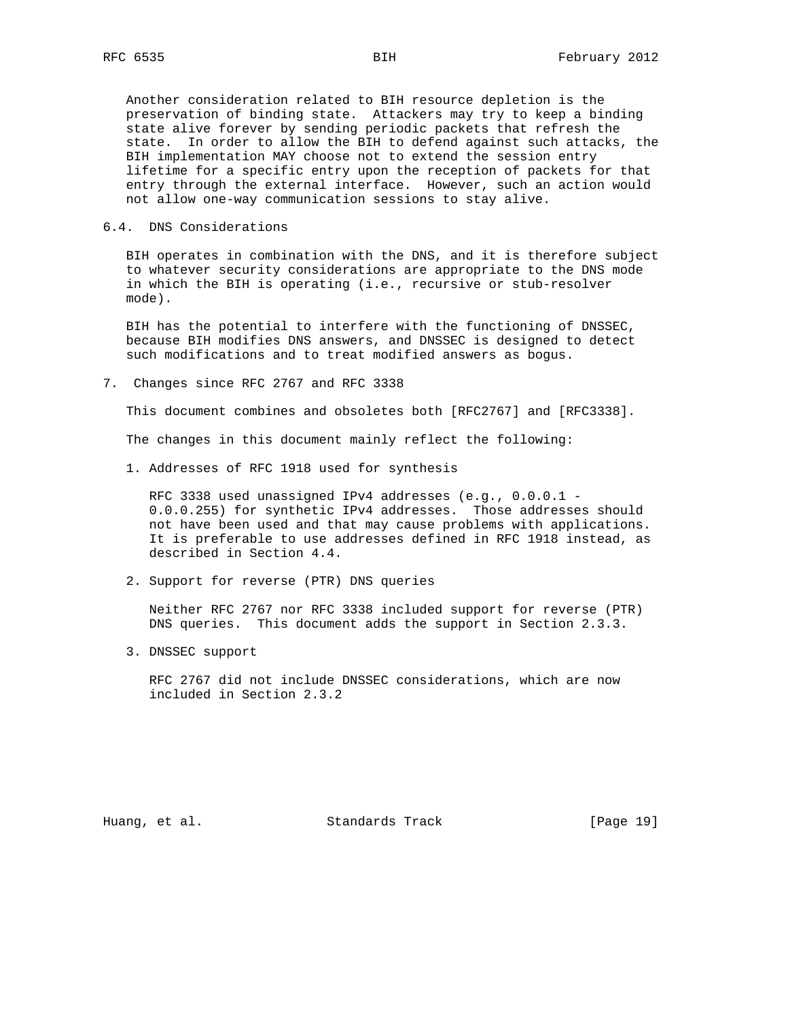Another consideration related to BIH resource depletion is the preservation of binding state. Attackers may try to keep a binding state alive forever by sending periodic packets that refresh the state. In order to allow the BIH to defend against such attacks, the BIH implementation MAY choose not to extend the session entry lifetime for a specific entry upon the reception of packets for that entry through the external interface. However, such an action would not allow one-way communication sessions to stay alive.

### 6.4. DNS Considerations

 BIH operates in combination with the DNS, and it is therefore subject to whatever security considerations are appropriate to the DNS mode in which the BIH is operating (i.e., recursive or stub-resolver mode).

 BIH has the potential to interfere with the functioning of DNSSEC, because BIH modifies DNS answers, and DNSSEC is designed to detect such modifications and to treat modified answers as bogus.

7. Changes since RFC 2767 and RFC 3338

This document combines and obsoletes both [RFC2767] and [RFC3338].

The changes in this document mainly reflect the following:

1. Addresses of RFC 1918 used for synthesis

 RFC 3338 used unassigned IPv4 addresses (e.g., 0.0.0.1 - 0.0.0.255) for synthetic IPv4 addresses. Those addresses should not have been used and that may cause problems with applications. It is preferable to use addresses defined in RFC 1918 instead, as described in Section 4.4.

2. Support for reverse (PTR) DNS queries

 Neither RFC 2767 nor RFC 3338 included support for reverse (PTR) DNS queries. This document adds the support in Section 2.3.3.

3. DNSSEC support

 RFC 2767 did not include DNSSEC considerations, which are now included in Section 2.3.2

Huang, et al. Standards Track [Page 19]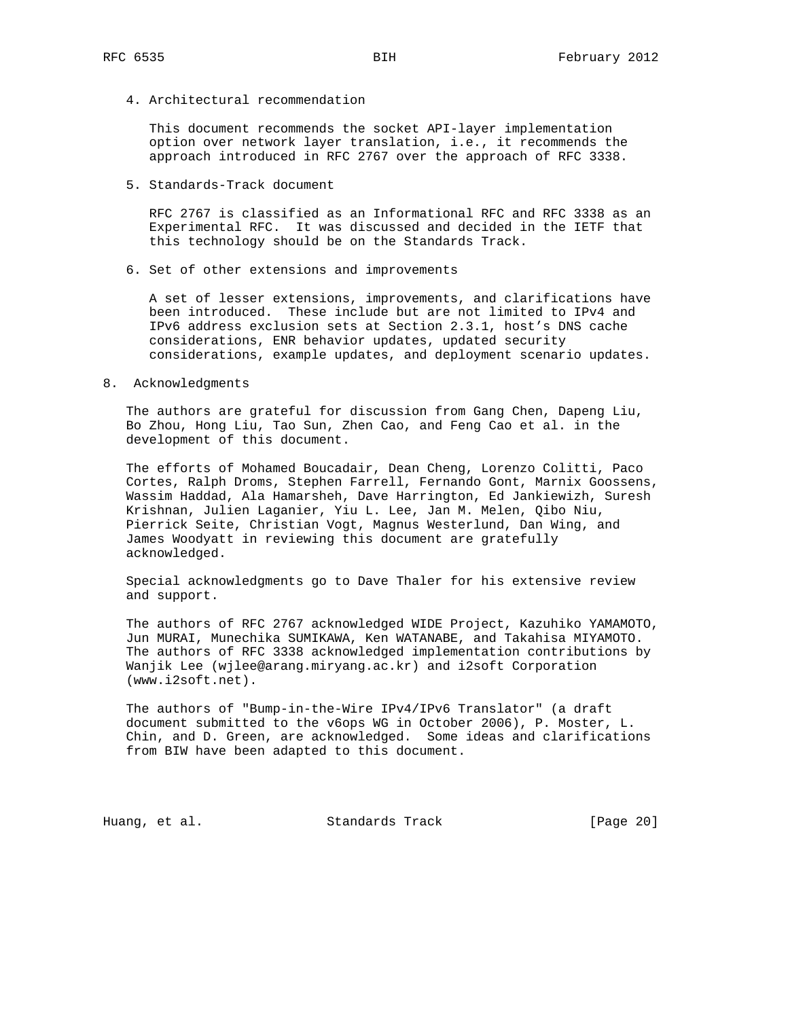4. Architectural recommendation

 This document recommends the socket API-layer implementation option over network layer translation, i.e., it recommends the approach introduced in RFC 2767 over the approach of RFC 3338.

5. Standards-Track document

 RFC 2767 is classified as an Informational RFC and RFC 3338 as an Experimental RFC. It was discussed and decided in the IETF that this technology should be on the Standards Track.

6. Set of other extensions and improvements

 A set of lesser extensions, improvements, and clarifications have been introduced. These include but are not limited to IPv4 and IPv6 address exclusion sets at Section 2.3.1, host's DNS cache considerations, ENR behavior updates, updated security considerations, example updates, and deployment scenario updates.

8. Acknowledgments

 The authors are grateful for discussion from Gang Chen, Dapeng Liu, Bo Zhou, Hong Liu, Tao Sun, Zhen Cao, and Feng Cao et al. in the development of this document.

 The efforts of Mohamed Boucadair, Dean Cheng, Lorenzo Colitti, Paco Cortes, Ralph Droms, Stephen Farrell, Fernando Gont, Marnix Goossens, Wassim Haddad, Ala Hamarsheh, Dave Harrington, Ed Jankiewizh, Suresh Krishnan, Julien Laganier, Yiu L. Lee, Jan M. Melen, Qibo Niu, Pierrick Seite, Christian Vogt, Magnus Westerlund, Dan Wing, and James Woodyatt in reviewing this document are gratefully acknowledged.

 Special acknowledgments go to Dave Thaler for his extensive review and support.

 The authors of RFC 2767 acknowledged WIDE Project, Kazuhiko YAMAMOTO, Jun MURAI, Munechika SUMIKAWA, Ken WATANABE, and Takahisa MIYAMOTO. The authors of RFC 3338 acknowledged implementation contributions by Wanjik Lee (wjlee@arang.miryang.ac.kr) and i2soft Corporation (www.i2soft.net).

 The authors of "Bump-in-the-Wire IPv4/IPv6 Translator" (a draft document submitted to the v6ops WG in October 2006), P. Moster, L. Chin, and D. Green, are acknowledged. Some ideas and clarifications from BIW have been adapted to this document.

Huang, et al. Standards Track [Page 20]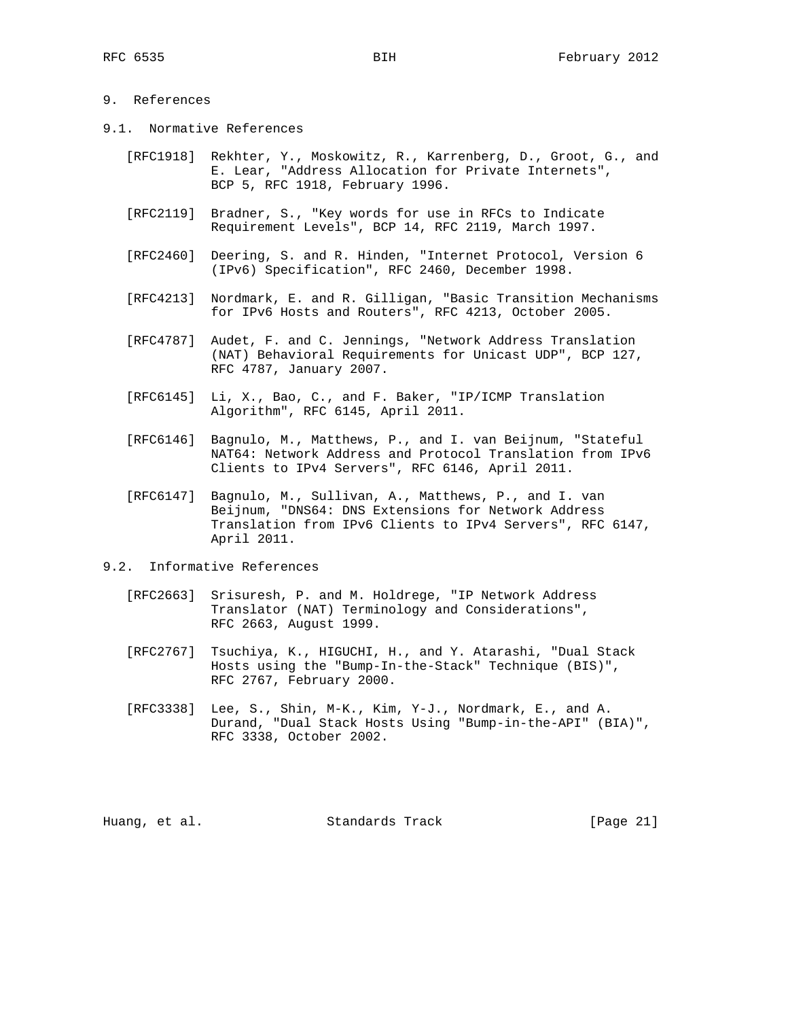# 9. References

- 9.1. Normative References
	- [RFC1918] Rekhter, Y., Moskowitz, R., Karrenberg, D., Groot, G., and E. Lear, "Address Allocation for Private Internets", BCP 5, RFC 1918, February 1996.
	- [RFC2119] Bradner, S., "Key words for use in RFCs to Indicate Requirement Levels", BCP 14, RFC 2119, March 1997.
	- [RFC2460] Deering, S. and R. Hinden, "Internet Protocol, Version 6 (IPv6) Specification", RFC 2460, December 1998.
	- [RFC4213] Nordmark, E. and R. Gilligan, "Basic Transition Mechanisms for IPv6 Hosts and Routers", RFC 4213, October 2005.
	- [RFC4787] Audet, F. and C. Jennings, "Network Address Translation (NAT) Behavioral Requirements for Unicast UDP", BCP 127, RFC 4787, January 2007.
	- [RFC6145] Li, X., Bao, C., and F. Baker, "IP/ICMP Translation Algorithm", RFC 6145, April 2011.
	- [RFC6146] Bagnulo, M., Matthews, P., and I. van Beijnum, "Stateful NAT64: Network Address and Protocol Translation from IPv6 Clients to IPv4 Servers", RFC 6146, April 2011.
	- [RFC6147] Bagnulo, M., Sullivan, A., Matthews, P., and I. van Beijnum, "DNS64: DNS Extensions for Network Address Translation from IPv6 Clients to IPv4 Servers", RFC 6147, April 2011.
- 9.2. Informative References
	- [RFC2663] Srisuresh, P. and M. Holdrege, "IP Network Address Translator (NAT) Terminology and Considerations", RFC 2663, August 1999.
	- [RFC2767] Tsuchiya, K., HIGUCHI, H., and Y. Atarashi, "Dual Stack Hosts using the "Bump-In-the-Stack" Technique (BIS)", RFC 2767, February 2000.
	- [RFC3338] Lee, S., Shin, M-K., Kim, Y-J., Nordmark, E., and A. Durand, "Dual Stack Hosts Using "Bump-in-the-API" (BIA)", RFC 3338, October 2002.

Huang, et al. Standards Track [Page 21]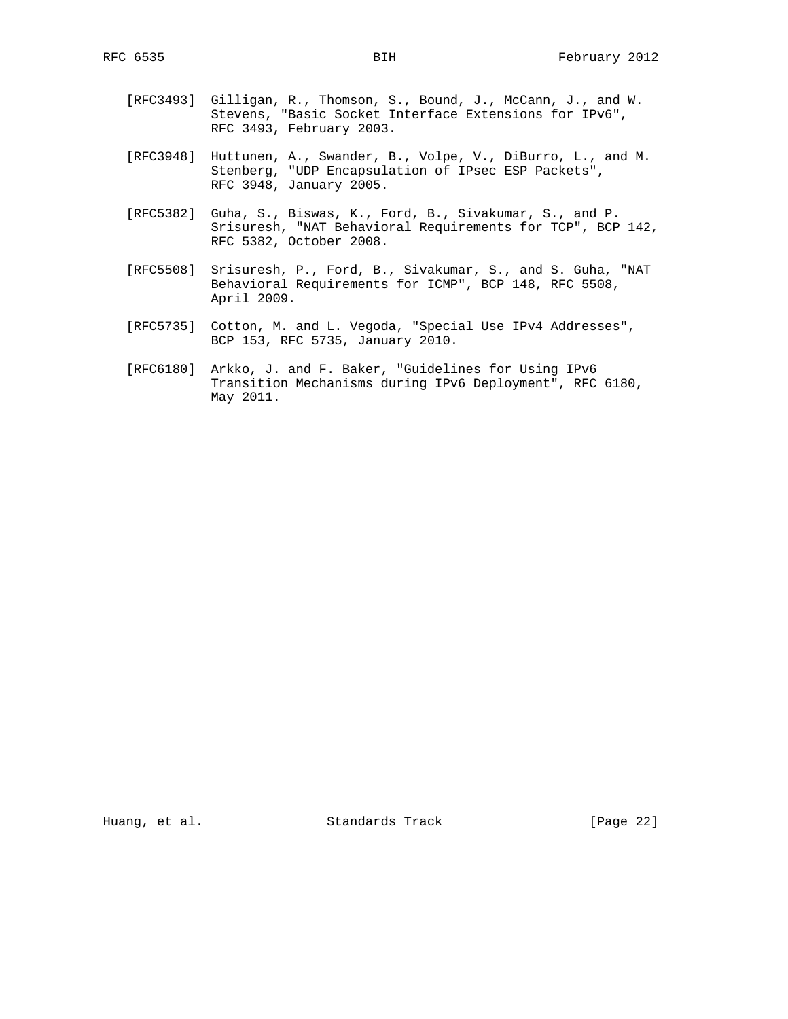- [RFC3493] Gilligan, R., Thomson, S., Bound, J., McCann, J., and W. Stevens, "Basic Socket Interface Extensions for IPv6", RFC 3493, February 2003.
- [RFC3948] Huttunen, A., Swander, B., Volpe, V., DiBurro, L., and M. Stenberg, "UDP Encapsulation of IPsec ESP Packets", RFC 3948, January 2005.
- [RFC5382] Guha, S., Biswas, K., Ford, B., Sivakumar, S., and P. Srisuresh, "NAT Behavioral Requirements for TCP", BCP 142, RFC 5382, October 2008.
- [RFC5508] Srisuresh, P., Ford, B., Sivakumar, S., and S. Guha, "NAT Behavioral Requirements for ICMP", BCP 148, RFC 5508, April 2009.
- [RFC5735] Cotton, M. and L. Vegoda, "Special Use IPv4 Addresses", BCP 153, RFC 5735, January 2010.
- [RFC6180] Arkko, J. and F. Baker, "Guidelines for Using IPv6 Transition Mechanisms during IPv6 Deployment", RFC 6180, May 2011.

Huang, et al. Standards Track [Page 22]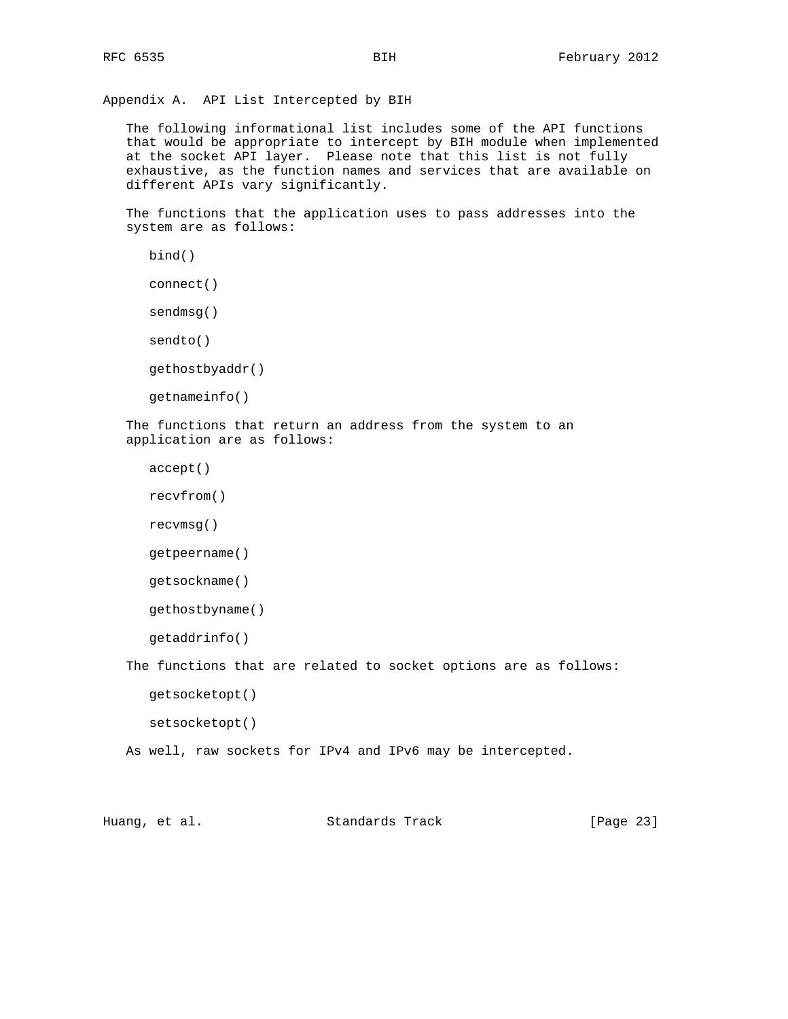Appendix A. API List Intercepted by BIH

 The following informational list includes some of the API functions that would be appropriate to intercept by BIH module when implemented at the socket API layer. Please note that this list is not fully exhaustive, as the function names and services that are available on different APIs vary significantly.

 The functions that the application uses to pass addresses into the system are as follows:

```
 bind()
```

```
 connect()
```
sendmsg()

sendto()

gethostbyaddr()

```
 getnameinfo()
```
 The functions that return an address from the system to an application are as follows:

```
 accept()
```

```
 recvfrom()
```

```
 recvmsg()
```

```
 getpeername()
```

```
 getsockname()
```
gethostbyname()

```
 getaddrinfo()
```
 The functions that are related to socket options are as follows: getsocketopt()

setsocketopt()

As well, raw sockets for IPv4 and IPv6 may be intercepted.

Huang, et al. Standards Track [Page 23]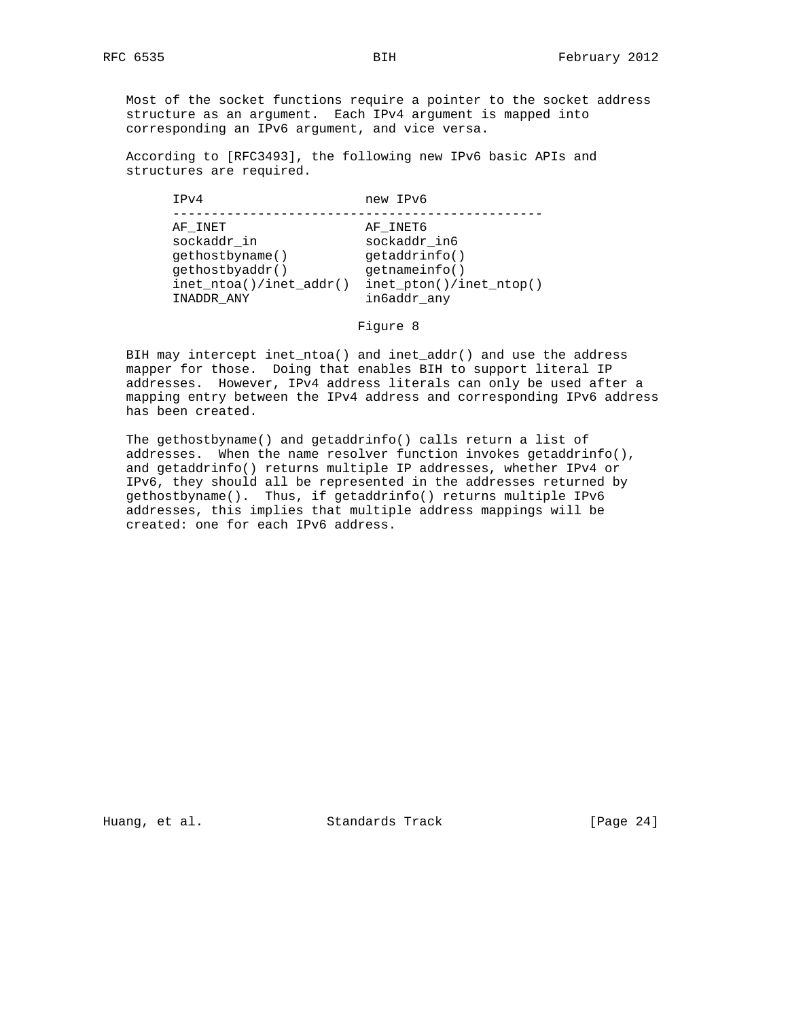Most of the socket functions require a pointer to the socket address structure as an argument. Each IPv4 argument is mapped into corresponding an IPv6 argument, and vice versa.

 According to [RFC3493], the following new IPv6 basic APIs and structures are required.

| IPv4                                                                                                       | new IPv6                                                                                                 |
|------------------------------------------------------------------------------------------------------------|----------------------------------------------------------------------------------------------------------|
| AF INET<br>sockaddr in<br>qethostbyname()<br>qethostbyaddr()<br>$inet\_ntoa() /inet\_addr()$<br>INADDR ANY | AF INET6<br>sockaddr in6<br>qetadrinfo()<br>qetnameinfo()<br>$inet\_pton() /inet\_ntop()$<br>in6addr any |
|                                                                                                            |                                                                                                          |

Figure 8

 BIH may intercept inet\_ntoa() and inet\_addr() and use the address mapper for those. Doing that enables BIH to support literal IP addresses. However, IPv4 address literals can only be used after a mapping entry between the IPv4 address and corresponding IPv6 address has been created.

 The gethostbyname() and getaddrinfo() calls return a list of addresses. When the name resolver function invokes getaddrinfo(), and getaddrinfo() returns multiple IP addresses, whether IPv4 or IPv6, they should all be represented in the addresses returned by gethostbyname(). Thus, if getaddrinfo() returns multiple IPv6 addresses, this implies that multiple address mappings will be created: one for each IPv6 address.

Huang, et al. Standards Track [Page 24]